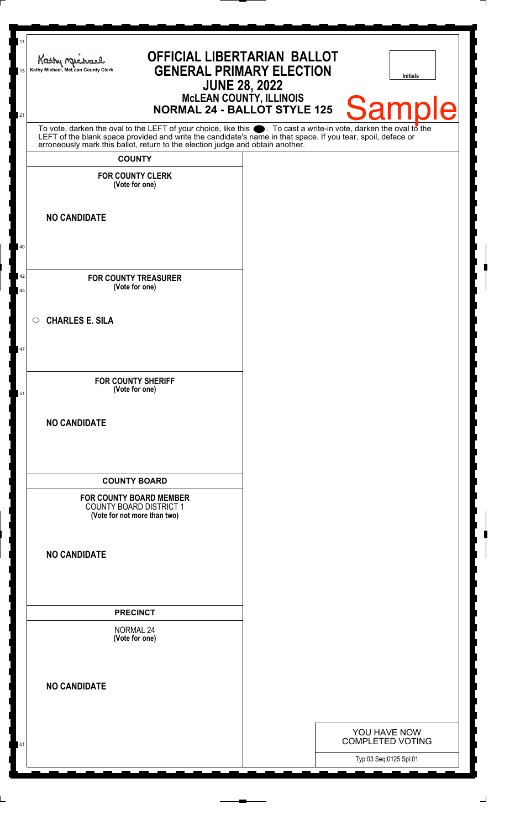| 11<br>13 | <b>OFFICIAL LIBERTARIAN BALLOT</b><br>Kathy Michael<br><b>GENERAL PRIMARY ELECTION</b><br>Kathy Michael, McLean County Clerk<br><b>JUNE 28, 2022</b><br>McLEAN COUNTY, ILLINOIS<br>NORMAL 24 - BALLOT STYLE 125                      | <b>Initials</b>                         |
|----------|--------------------------------------------------------------------------------------------------------------------------------------------------------------------------------------------------------------------------------------|-----------------------------------------|
| 21       | To vote, darken the oval to the LEFT of your choice, like this $\bullet$ . To cast a write-in vote, darken the oval to the LEFT of the blank space provided and write the candidate's name in that space. If you tear, spoil, deface | <b>Sample</b>                           |
|          | erroneously mark this ballot, return to the election judge and obtain another.                                                                                                                                                       |                                         |
|          | <b>COUNTY</b><br><b>FOR COUNTY CLERK</b><br>(Vote for one)                                                                                                                                                                           |                                         |
|          | <b>NO CANDIDATE</b>                                                                                                                                                                                                                  |                                         |
| 40       |                                                                                                                                                                                                                                      |                                         |
| 42<br>43 | <b>FOR COUNTY TREASURER</b><br>(Vote for one)                                                                                                                                                                                        |                                         |
| 47       | <b>CHARLES E. SILA</b><br>$\circ$                                                                                                                                                                                                    |                                         |
| 51       | <b>FOR COUNTY SHERIFF</b><br>(Vote for one)                                                                                                                                                                                          |                                         |
|          | <b>NO CANDIDATE</b>                                                                                                                                                                                                                  |                                         |
|          | <b>COUNTY BOARD</b>                                                                                                                                                                                                                  |                                         |
|          | <b>FOR COUNTY BOARD MEMBER</b><br><b>COUNTY BOARD DISTRICT 1</b><br>(Vote for not more than two)                                                                                                                                     |                                         |
|          | <b>NO CANDIDATE</b>                                                                                                                                                                                                                  |                                         |
|          | <b>PRECINCT</b>                                                                                                                                                                                                                      |                                         |
|          | <b>NORMAL 24</b><br>(Vote for one)                                                                                                                                                                                                   |                                         |
|          | <b>NO CANDIDATE</b>                                                                                                                                                                                                                  |                                         |
|          |                                                                                                                                                                                                                                      |                                         |
| 61       |                                                                                                                                                                                                                                      | YOU HAVE NOW<br><b>COMPLETED VOTING</b> |
|          |                                                                                                                                                                                                                                      | Typ:03 Seq:0125 Spl:01                  |